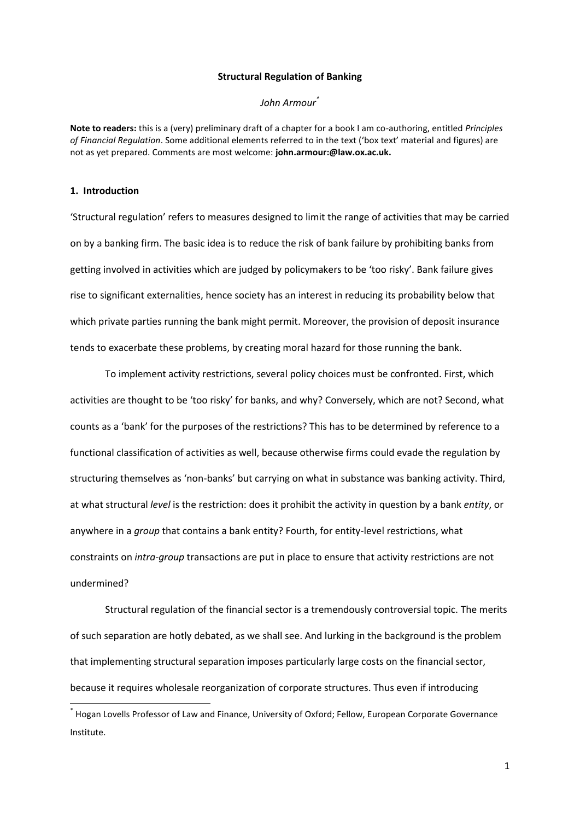#### **Structural Regulation of Banking**

*John Armour\**

**Note to readers:** this is a (very) preliminary draft of a chapter for a book I am co-authoring, entitled *Principles of Financial Regulation*. Some additional elements referred to in the text ('box text' material and figures) are not as yet prepared. Comments are most welcome: **john.armour:@law.ox.ac.uk.**

# **1. Introduction**

**.** 

'Structural regulation' refers to measures designed to limit the range of activities that may be carried on by a banking firm. The basic idea is to reduce the risk of bank failure by prohibiting banks from getting involved in activities which are judged by policymakers to be 'too risky'. Bank failure gives rise to significant externalities, hence society has an interest in reducing its probability below that which private parties running the bank might permit. Moreover, the provision of deposit insurance tends to exacerbate these problems, by creating moral hazard for those running the bank.

To implement activity restrictions, several policy choices must be confronted. First, which activities are thought to be 'too risky' for banks, and why? Conversely, which are not? Second, what counts as a 'bank' for the purposes of the restrictions? This has to be determined by reference to a functional classification of activities as well, because otherwise firms could evade the regulation by structuring themselves as 'non-banks' but carrying on what in substance was banking activity. Third, at what structural *level* is the restriction: does it prohibit the activity in question by a bank *entity*, or anywhere in a *group* that contains a bank entity? Fourth, for entity-level restrictions, what constraints on *intra-group* transactions are put in place to ensure that activity restrictions are not undermined?

Structural regulation of the financial sector is a tremendously controversial topic. The merits of such separation are hotly debated, as we shall see. And lurking in the background is the problem that implementing structural separation imposes particularly large costs on the financial sector, because it requires wholesale reorganization of corporate structures. Thus even if introducing

<sup>\*</sup> Hogan Lovells Professor of Law and Finance, University of Oxford; Fellow, European Corporate Governance Institute.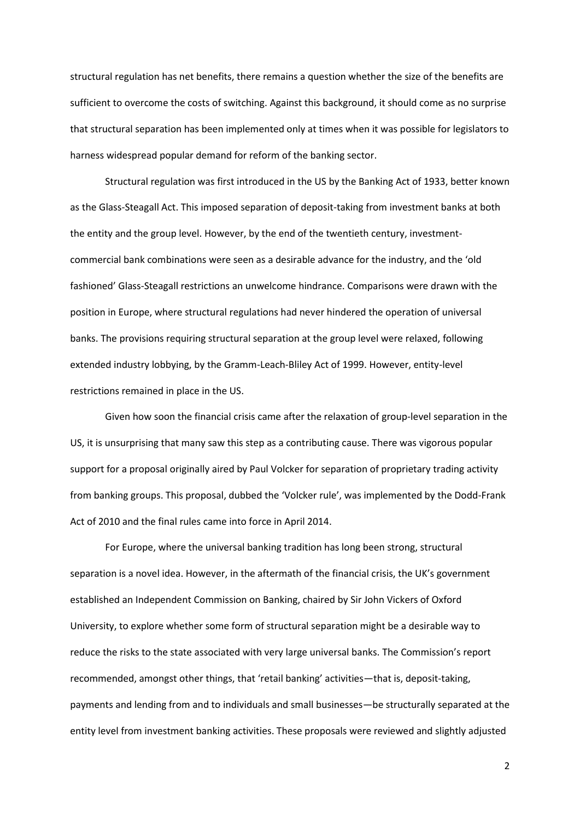structural regulation has net benefits, there remains a question whether the size of the benefits are sufficient to overcome the costs of switching. Against this background, it should come as no surprise that structural separation has been implemented only at times when it was possible for legislators to harness widespread popular demand for reform of the banking sector.

Structural regulation was first introduced in the US by the Banking Act of 1933, better known as the Glass-Steagall Act. This imposed separation of deposit-taking from investment banks at both the entity and the group level. However, by the end of the twentieth century, investmentcommercial bank combinations were seen as a desirable advance for the industry, and the 'old fashioned' Glass-Steagall restrictions an unwelcome hindrance. Comparisons were drawn with the position in Europe, where structural regulations had never hindered the operation of universal banks. The provisions requiring structural separation at the group level were relaxed, following extended industry lobbying, by the Gramm-Leach-Bliley Act of 1999. However, entity-level restrictions remained in place in the US.

Given how soon the financial crisis came after the relaxation of group-level separation in the US, it is unsurprising that many saw this step as a contributing cause. There was vigorous popular support for a proposal originally aired by Paul Volcker for separation of proprietary trading activity from banking groups. This proposal, dubbed the 'Volcker rule', was implemented by the Dodd-Frank Act of 2010 and the final rules came into force in April 2014.

For Europe, where the universal banking tradition has long been strong, structural separation is a novel idea. However, in the aftermath of the financial crisis, the UK's government established an Independent Commission on Banking, chaired by Sir John Vickers of Oxford University, to explore whether some form of structural separation might be a desirable way to reduce the risks to the state associated with very large universal banks. The Commission's report recommended, amongst other things, that 'retail banking' activities—that is, deposit-taking, payments and lending from and to individuals and small businesses—be structurally separated at the entity level from investment banking activities. These proposals were reviewed and slightly adjusted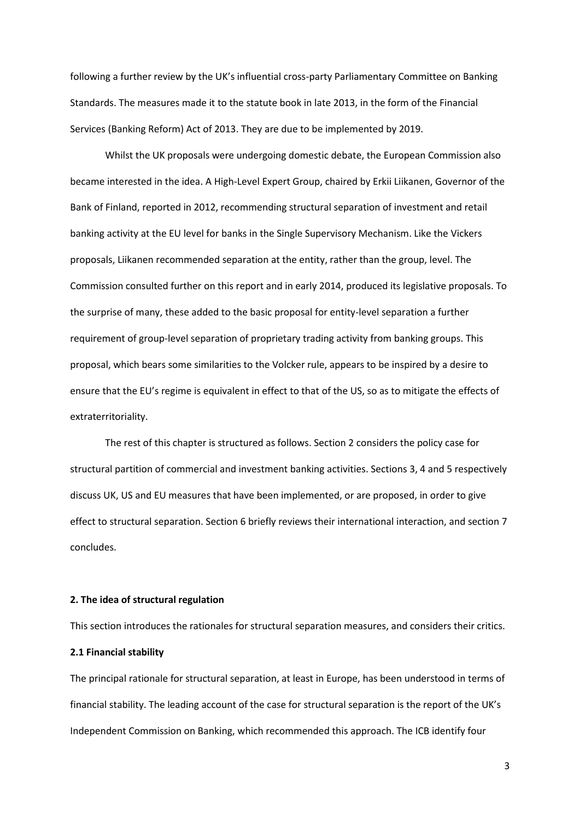following a further review by the UK's influential cross-party Parliamentary Committee on Banking Standards. The measures made it to the statute book in late 2013, in the form of the Financial Services (Banking Reform) Act of 2013. They are due to be implemented by 2019.

Whilst the UK proposals were undergoing domestic debate, the European Commission also became interested in the idea. A High-Level Expert Group, chaired by Erkii Liikanen, Governor of the Bank of Finland, reported in 2012, recommending structural separation of investment and retail banking activity at the EU level for banks in the Single Supervisory Mechanism. Like the Vickers proposals, Liikanen recommended separation at the entity, rather than the group, level. The Commission consulted further on this report and in early 2014, produced its legislative proposals. To the surprise of many, these added to the basic proposal for entity-level separation a further requirement of group-level separation of proprietary trading activity from banking groups. This proposal, which bears some similarities to the Volcker rule, appears to be inspired by a desire to ensure that the EU's regime is equivalent in effect to that of the US, so as to mitigate the effects of extraterritoriality.

The rest of this chapter is structured as follows. Section 2 considers the policy case for structural partition of commercial and investment banking activities. Sections 3, 4 and 5 respectively discuss UK, US and EU measures that have been implemented, or are proposed, in order to give effect to structural separation. Section 6 briefly reviews their international interaction, and section 7 concludes.

# **2. The idea of structural regulation**

This section introduces the rationales for structural separation measures, and considers their critics.

# **2.1 Financial stability**

The principal rationale for structural separation, at least in Europe, has been understood in terms of financial stability. The leading account of the case for structural separation is the report of the UK's Independent Commission on Banking, which recommended this approach. The ICB identify four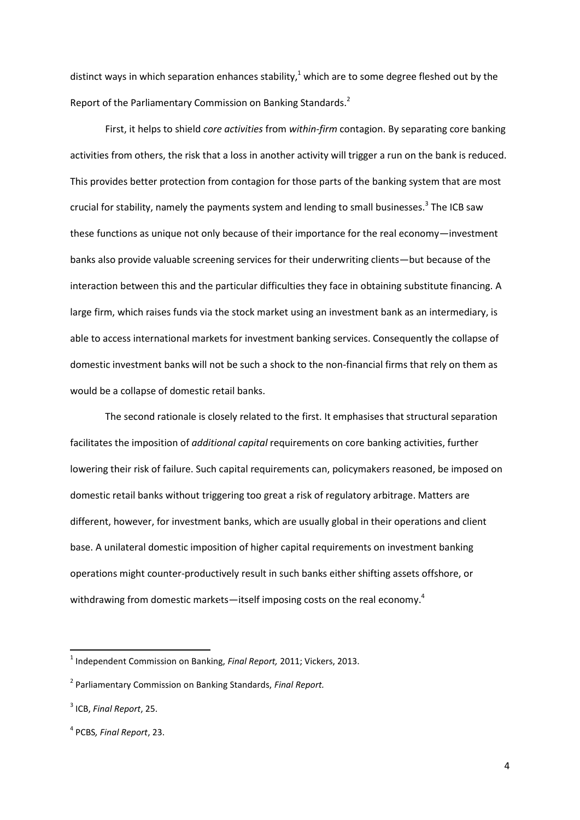distinct ways in which separation enhances stability, $1$  which are to some degree fleshed out by the Report of the Parliamentary Commission on Banking Standards.<sup>2</sup>

First, it helps to shield *core activities* from *within-firm* contagion. By separating core banking activities from others, the risk that a loss in another activity will trigger a run on the bank is reduced. This provides better protection from contagion for those parts of the banking system that are most crucial for stability, namely the payments system and lending to small businesses.<sup>3</sup> The ICB saw these functions as unique not only because of their importance for the real economy—investment banks also provide valuable screening services for their underwriting clients—but because of the interaction between this and the particular difficulties they face in obtaining substitute financing. A large firm, which raises funds via the stock market using an investment bank as an intermediary, is able to access international markets for investment banking services. Consequently the collapse of domestic investment banks will not be such a shock to the non-financial firms that rely on them as would be a collapse of domestic retail banks.

The second rationale is closely related to the first. It emphasises that structural separation facilitates the imposition of *additional capital* requirements on core banking activities, further lowering their risk of failure. Such capital requirements can, policymakers reasoned, be imposed on domestic retail banks without triggering too great a risk of regulatory arbitrage. Matters are different, however, for investment banks, which are usually global in their operations and client base. A unilateral domestic imposition of higher capital requirements on investment banking operations might counter-productively result in such banks either shifting assets offshore, or withdrawing from domestic markets—itself imposing costs on the real economy.<sup>4</sup>

 1 Independent Commission on Banking, *Final Report,* 2011; Vickers, 2013.

<sup>2</sup> Parliamentary Commission on Banking Standards, *Final Report.*

<sup>3</sup> ICB, *Final Report*, 25.

<sup>4</sup> PCBS*, Final Report*, 23.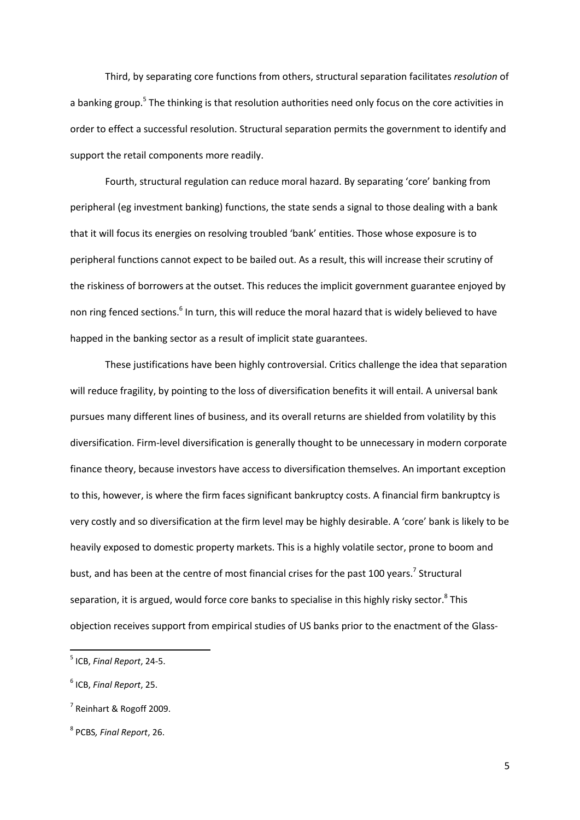Third, by separating core functions from others, structural separation facilitates *resolution* of a banking group.<sup>5</sup> The thinking is that resolution authorities need only focus on the core activities in order to effect a successful resolution. Structural separation permits the government to identify and support the retail components more readily.

Fourth, structural regulation can reduce moral hazard. By separating 'core' banking from peripheral (eg investment banking) functions, the state sends a signal to those dealing with a bank that it will focus its energies on resolving troubled 'bank' entities. Those whose exposure is to peripheral functions cannot expect to be bailed out. As a result, this will increase their scrutiny of the riskiness of borrowers at the outset. This reduces the implicit government guarantee enjoyed by non ring fenced sections.<sup>6</sup> In turn, this will reduce the moral hazard that is widely believed to have happed in the banking sector as a result of implicit state guarantees.

These justifications have been highly controversial. Critics challenge the idea that separation will reduce fragility, by pointing to the loss of diversification benefits it will entail. A universal bank pursues many different lines of business, and its overall returns are shielded from volatility by this diversification. Firm-level diversification is generally thought to be unnecessary in modern corporate finance theory, because investors have access to diversification themselves. An important exception to this, however, is where the firm faces significant bankruptcy costs. A financial firm bankruptcy is very costly and so diversification at the firm level may be highly desirable. A 'core' bank is likely to be heavily exposed to domestic property markets. This is a highly volatile sector, prone to boom and bust, and has been at the centre of most financial crises for the past 100 years.<sup>7</sup> Structural separation, it is argued, would force core banks to specialise in this highly risky sector.<sup>8</sup> This objection receives support from empirical studies of US banks prior to the enactment of the Glass-

 5 ICB, *Final Report*, 24-5.

<sup>6</sup> ICB, *Final Report*, 25.

 $<sup>7</sup>$  Reinhart & Rogoff 2009.</sup>

<sup>8</sup> PCBS*, Final Report*, 26.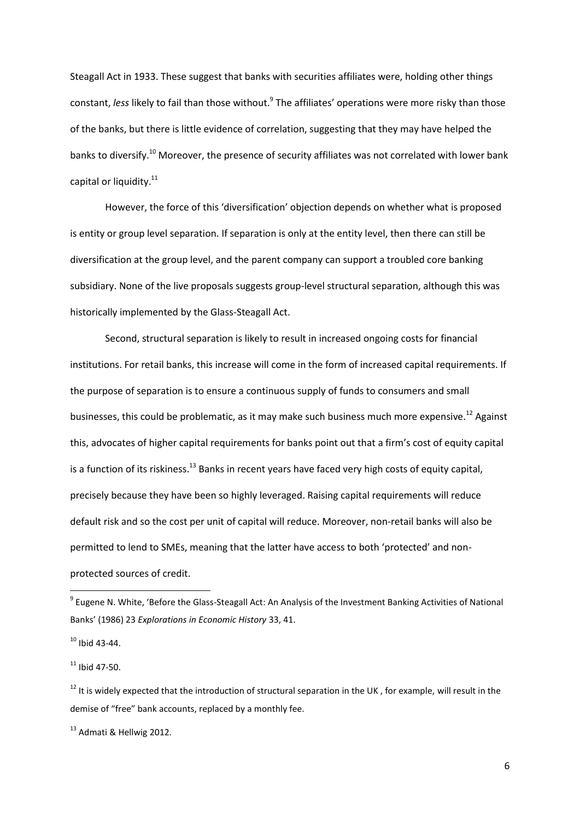Steagall Act in 1933. These suggest that banks with securities affiliates were, holding other things constant, less likely to fail than those without.<sup>9</sup> The affiliates' operations were more risky than those of the banks, but there is little evidence of correlation, suggesting that they may have helped the banks to diversify.<sup>10</sup> Moreover, the presence of security affiliates was not correlated with lower bank capital or liquidity.<sup>11</sup>

However, the force of this 'diversification' objection depends on whether what is proposed is entity or group level separation. If separation is only at the entity level, then there can still be diversification at the group level, and the parent company can support a troubled core banking subsidiary. None of the live proposals suggests group-level structural separation, although this was historically implemented by the Glass-Steagall Act.

Second, structural separation is likely to result in increased ongoing costs for financial institutions. For retail banks, this increase will come in the form of increased capital requirements. If the purpose of separation is to ensure a continuous supply of funds to consumers and small businesses, this could be problematic, as it may make such business much more expensive.<sup>12</sup> Against this, advocates of higher capital requirements for banks point out that a firm's cost of equity capital is a function of its riskiness.<sup>13</sup> Banks in recent years have faced very high costs of equity capital, precisely because they have been so highly leveraged. Raising capital requirements will reduce default risk and so the cost per unit of capital will reduce. Moreover, non-retail banks will also be permitted to lend to SMEs, meaning that the latter have access to both 'protected' and nonprotected sources of credit.

 $10$  Ibid 43-44.

 $\overline{a}$ 

 $11$  Ibid 47-50.

<sup>&</sup>lt;sup>9</sup> Eugene N. White, 'Before the Glass-Steagall Act: An Analysis of the Investment Banking Activities of National Banks' (1986) 23 *Explorations in Economic History* 33, 41.

 $12$  It is widely expected that the introduction of structural separation in the UK, for example, will result in the demise of "free" bank accounts, replaced by a monthly fee.

<sup>13</sup> Admati & Hellwig 2012.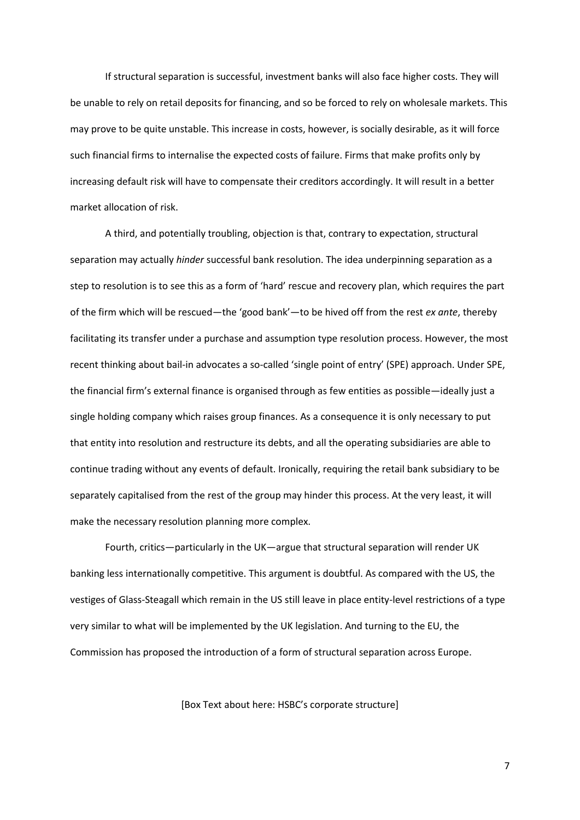If structural separation is successful, investment banks will also face higher costs. They will be unable to rely on retail deposits for financing, and so be forced to rely on wholesale markets. This may prove to be quite unstable. This increase in costs, however, is socially desirable, as it will force such financial firms to internalise the expected costs of failure. Firms that make profits only by increasing default risk will have to compensate their creditors accordingly. It will result in a better market allocation of risk.

A third, and potentially troubling, objection is that, contrary to expectation, structural separation may actually *hinder* successful bank resolution. The idea underpinning separation as a step to resolution is to see this as a form of 'hard' rescue and recovery plan, which requires the part of the firm which will be rescued—the 'good bank'—to be hived off from the rest *ex ante*, thereby facilitating its transfer under a purchase and assumption type resolution process. However, the most recent thinking about bail-in advocates a so-called 'single point of entry' (SPE) approach. Under SPE, the financial firm's external finance is organised through as few entities as possible—ideally just a single holding company which raises group finances. As a consequence it is only necessary to put that entity into resolution and restructure its debts, and all the operating subsidiaries are able to continue trading without any events of default. Ironically, requiring the retail bank subsidiary to be separately capitalised from the rest of the group may hinder this process. At the very least, it will make the necessary resolution planning more complex.

Fourth, critics—particularly in the UK—argue that structural separation will render UK banking less internationally competitive. This argument is doubtful. As compared with the US, the vestiges of Glass-Steagall which remain in the US still leave in place entity-level restrictions of a type very similar to what will be implemented by the UK legislation. And turning to the EU, the Commission has proposed the introduction of a form of structural separation across Europe.

[Box Text about here: HSBC's corporate structure]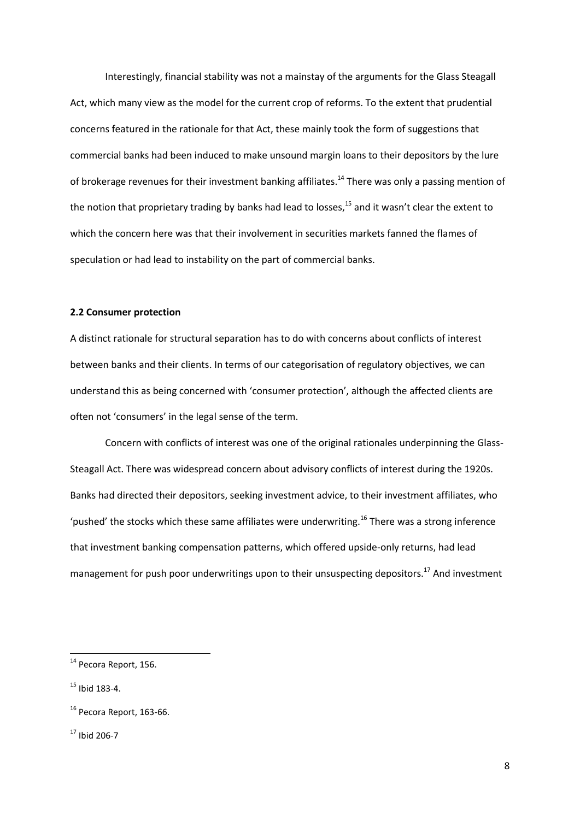Interestingly, financial stability was not a mainstay of the arguments for the Glass Steagall Act, which many view as the model for the current crop of reforms. To the extent that prudential concerns featured in the rationale for that Act, these mainly took the form of suggestions that commercial banks had been induced to make unsound margin loans to their depositors by the lure of brokerage revenues for their investment banking affiliates.<sup>14</sup> There was only a passing mention of the notion that proprietary trading by banks had lead to losses, $15$  and it wasn't clear the extent to which the concern here was that their involvement in securities markets fanned the flames of speculation or had lead to instability on the part of commercial banks.

# **2.2 Consumer protection**

A distinct rationale for structural separation has to do with concerns about conflicts of interest between banks and their clients. In terms of our categorisation of regulatory objectives, we can understand this as being concerned with 'consumer protection', although the affected clients are often not 'consumers' in the legal sense of the term.

Concern with conflicts of interest was one of the original rationales underpinning the Glass-Steagall Act. There was widespread concern about advisory conflicts of interest during the 1920s. Banks had directed their depositors, seeking investment advice, to their investment affiliates, who 'pushed' the stocks which these same affiliates were underwriting.<sup>16</sup> There was a strong inference that investment banking compensation patterns, which offered upside-only returns, had lead management for push poor underwritings upon to their unsuspecting depositors.<sup>17</sup> And investment

<sup>&</sup>lt;sup>14</sup> Pecora Report, 156.

<sup>15</sup> Ibid 183-4.

 $16$  Pecora Report, 163-66.

<sup>17</sup> Ibid 206-7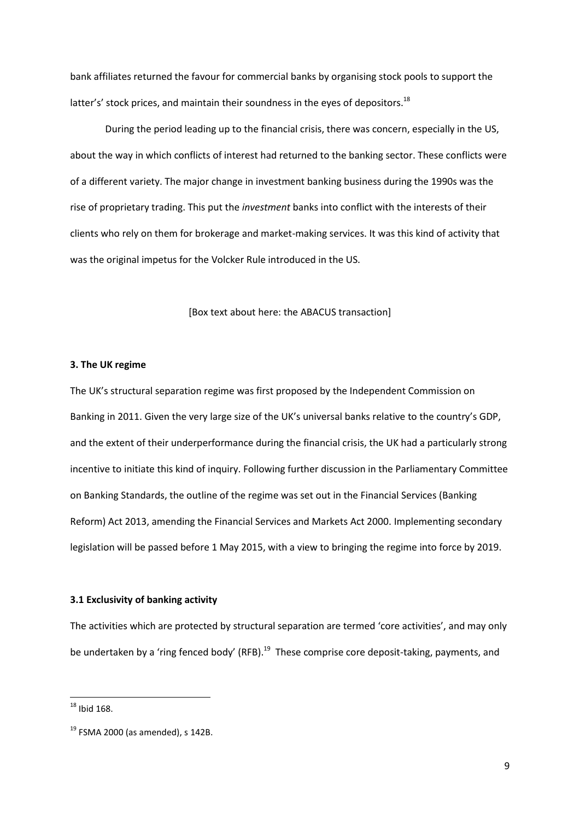bank affiliates returned the favour for commercial banks by organising stock pools to support the latter's' stock prices, and maintain their soundness in the eyes of depositors.<sup>18</sup>

During the period leading up to the financial crisis, there was concern, especially in the US, about the way in which conflicts of interest had returned to the banking sector. These conflicts were of a different variety. The major change in investment banking business during the 1990s was the rise of proprietary trading. This put the *investment* banks into conflict with the interests of their clients who rely on them for brokerage and market-making services. It was this kind of activity that was the original impetus for the Volcker Rule introduced in the US.

# [Box text about here: the ABACUS transaction]

# **3. The UK regime**

The UK's structural separation regime was first proposed by the Independent Commission on Banking in 2011. Given the very large size of the UK's universal banks relative to the country's GDP, and the extent of their underperformance during the financial crisis, the UK had a particularly strong incentive to initiate this kind of inquiry. Following further discussion in the Parliamentary Committee on Banking Standards, the outline of the regime was set out in the Financial Services (Banking Reform) Act 2013, amending the Financial Services and Markets Act 2000. Implementing secondary legislation will be passed before 1 May 2015, with a view to bringing the regime into force by 2019.

# **3.1 Exclusivity of banking activity**

The activities which are protected by structural separation are termed 'core activities', and may only be undertaken by a 'ring fenced body' (RFB).<sup>19</sup> These comprise core deposit-taking, payments, and

 $18$  Ibid 168.

 $19$  FSMA 2000 (as amended), s 142B.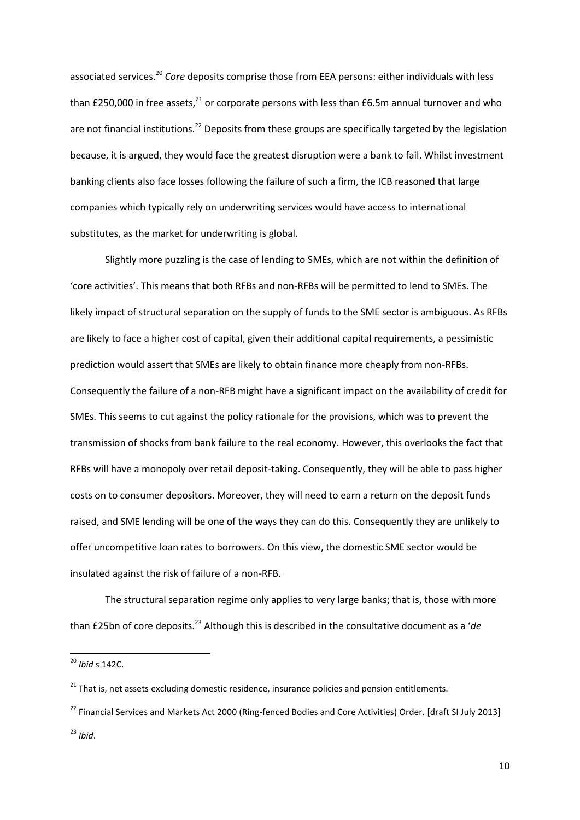associated services. <sup>20</sup> *Core* deposits comprise those from EEA persons: either individuals with less than £250,000 in free assets, $^{21}$  or corporate persons with less than £6.5m annual turnover and who are not financial institutions.<sup>22</sup> Deposits from these groups are specifically targeted by the legislation because, it is argued, they would face the greatest disruption were a bank to fail. Whilst investment banking clients also face losses following the failure of such a firm, the ICB reasoned that large companies which typically rely on underwriting services would have access to international substitutes, as the market for underwriting is global.

Slightly more puzzling is the case of lending to SMEs, which are not within the definition of 'core activities'. This means that both RFBs and non-RFBs will be permitted to lend to SMEs. The likely impact of structural separation on the supply of funds to the SME sector is ambiguous. As RFBs are likely to face a higher cost of capital, given their additional capital requirements, a pessimistic prediction would assert that SMEs are likely to obtain finance more cheaply from non-RFBs. Consequently the failure of a non-RFB might have a significant impact on the availability of credit for SMEs. This seems to cut against the policy rationale for the provisions, which was to prevent the transmission of shocks from bank failure to the real economy. However, this overlooks the fact that RFBs will have a monopoly over retail deposit-taking. Consequently, they will be able to pass higher costs on to consumer depositors. Moreover, they will need to earn a return on the deposit funds raised, and SME lending will be one of the ways they can do this. Consequently they are unlikely to offer uncompetitive loan rates to borrowers. On this view, the domestic SME sector would be insulated against the risk of failure of a non-RFB.

The structural separation regime only applies to very large banks; that is, those with more than £25bn of core deposits.<sup>23</sup> Although this is described in the consultative document as a '*de* 

<sup>20</sup> *Ibid* s 142C.

 $21$  That is, net assets excluding domestic residence, insurance policies and pension entitlements.

<sup>&</sup>lt;sup>22</sup> Financial Services and Markets Act 2000 (Ring-fenced Bodies and Core Activities) Order. [draft SI July 2013] <sup>23</sup> *Ibid*.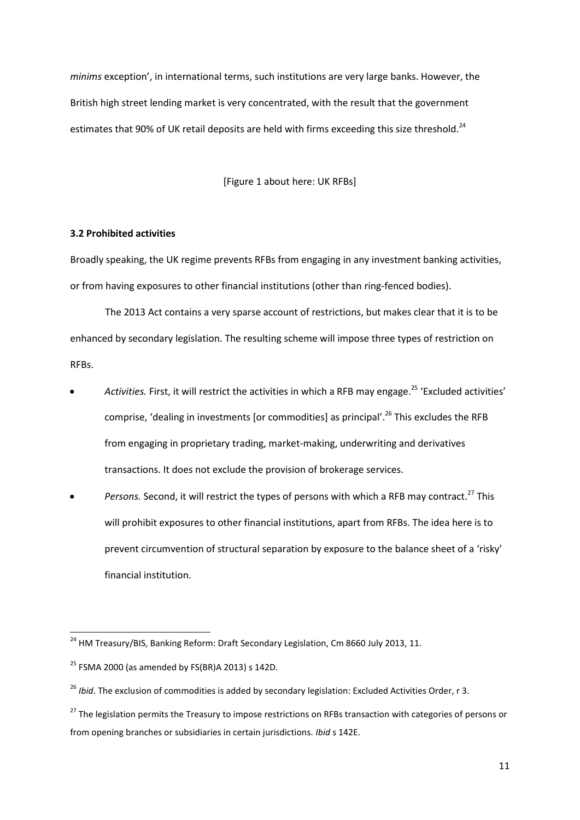*minims* exception', in international terms, such institutions are very large banks. However, the British high street lending market is very concentrated, with the result that the government estimates that 90% of UK retail deposits are held with firms exceeding this size threshold.<sup>24</sup>

[Figure 1 about here: UK RFBs]

# **3.2 Prohibited activities**

Broadly speaking, the UK regime prevents RFBs from engaging in any investment banking activities, or from having exposures to other financial institutions (other than ring-fenced bodies).

The 2013 Act contains a very sparse account of restrictions, but makes clear that it is to be enhanced by secondary legislation. The resulting scheme will impose three types of restriction on RFBs.

- Activities. First, it will restrict the activities in which a RFB may engage.<sup>25</sup> 'Excluded activities' comprise, 'dealing in investments [or commodities] as principal'.<sup>26</sup> This excludes the RFB from engaging in proprietary trading, market-making, underwriting and derivatives transactions. It does not exclude the provision of brokerage services.
- *Persons.* Second, it will restrict the types of persons with which a RFB may contract.<sup>27</sup> This will prohibit exposures to other financial institutions, apart from RFBs. The idea here is to prevent circumvention of structural separation by exposure to the balance sheet of a 'risky' financial institution.

<sup>&</sup>lt;sup>24</sup> HM Treasury/BIS, Banking Reform: Draft Secondary Legislation, Cm 8660 July 2013, 11.

 $25$  FSMA 2000 (as amended by FS(BR)A 2013) s 142D.

<sup>&</sup>lt;sup>26</sup> *Ibid*. The exclusion of commodities is added by secondary legislation: Excluded Activities Order, r 3.

<sup>&</sup>lt;sup>27</sup> The legislation permits the Treasury to impose restrictions on RFBs transaction with categories of persons or from opening branches or subsidiaries in certain jurisdictions. *Ibid* s 142E.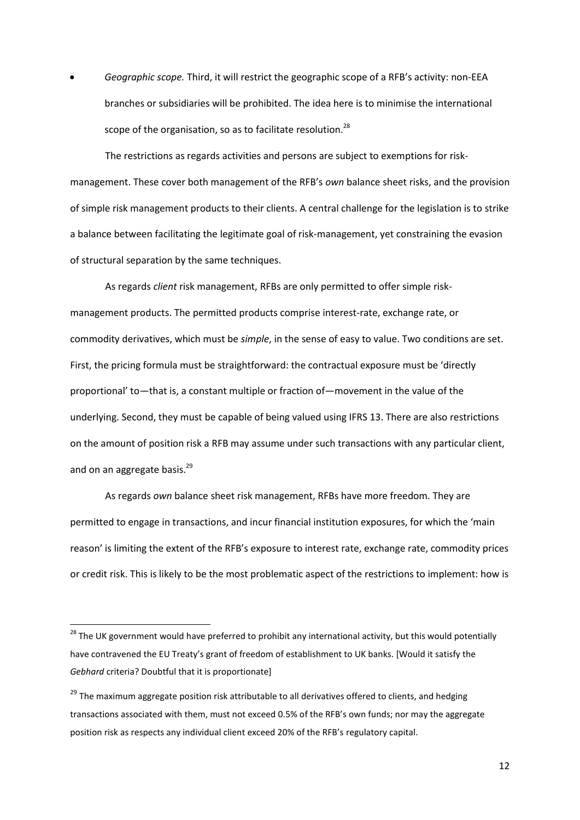*Geographic scope.* Third, it will restrict the geographic scope of a RFB's activity: non-EEA branches or subsidiaries will be prohibited. The idea here is to minimise the international scope of the organisation, so as to facilitate resolution.<sup>28</sup>

The restrictions as regards activities and persons are subject to exemptions for riskmanagement. These cover both management of the RFB's *own* balance sheet risks, and the provision of simple risk management products to their clients. A central challenge for the legislation is to strike a balance between facilitating the legitimate goal of risk-management, yet constraining the evasion of structural separation by the same techniques.

As regards *client* risk management, RFBs are only permitted to offer simple riskmanagement products. The permitted products comprise interest-rate, exchange rate, or commodity derivatives, which must be *simple*, in the sense of easy to value. Two conditions are set. First, the pricing formula must be straightforward: the contractual exposure must be 'directly proportional' to—that is, a constant multiple or fraction of—movement in the value of the underlying. Second, they must be capable of being valued using IFRS 13. There are also restrictions on the amount of position risk a RFB may assume under such transactions with any particular client, and on an aggregate basis.<sup>29</sup>

As regards *own* balance sheet risk management, RFBs have more freedom. They are permitted to engage in transactions, and incur financial institution exposures, for which the 'main reason' is limiting the extent of the RFB's exposure to interest rate, exchange rate, commodity prices or credit risk. This is likely to be the most problematic aspect of the restrictions to implement: how is

<sup>&</sup>lt;sup>28</sup> The UK government would have preferred to prohibit any international activity, but this would potentially have contravened the EU Treaty's grant of freedom of establishment to UK banks. [Would it satisfy the *Gebhard* criteria? Doubtful that it is proportionate]

<sup>&</sup>lt;sup>29</sup> The maximum aggregate position risk attributable to all derivatives offered to clients, and hedging transactions associated with them, must not exceed 0.5% of the RFB's own funds; nor may the aggregate position risk as respects any individual client exceed 20% of the RFB's regulatory capital.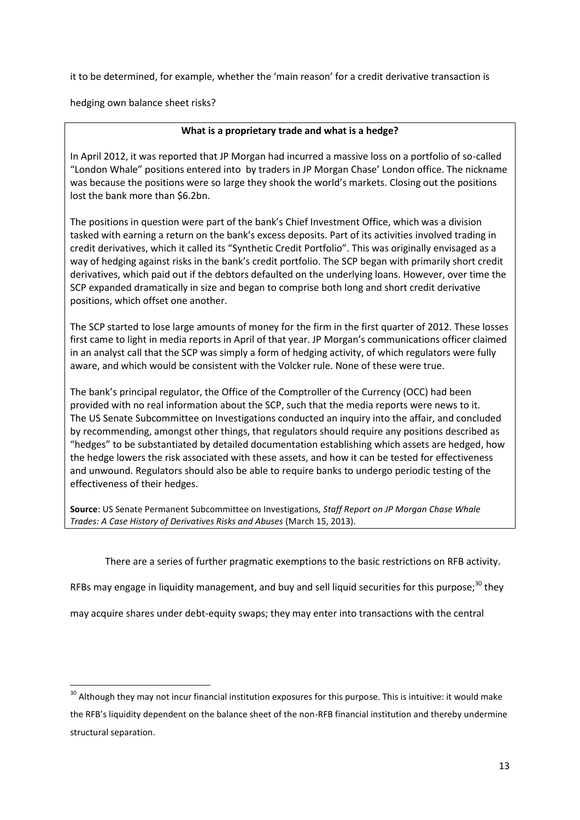it to be determined, for example, whether the 'main reason' for a credit derivative transaction is

hedging own balance sheet risks?

**.** 

# **What is a proprietary trade and what is a hedge?**

In April 2012, it was reported that JP Morgan had incurred a massive loss on a portfolio of so-called "London Whale" positions entered into by traders in JP Morgan Chase' London office. The nickname was because the positions were so large they shook the world's markets. Closing out the positions lost the bank more than \$6.2bn.

The positions in question were part of the bank's Chief Investment Office, which was a division tasked with earning a return on the bank's excess deposits. Part of its activities involved trading in credit derivatives, which it called its "Synthetic Credit Portfolio". This was originally envisaged as a way of hedging against risks in the bank's credit portfolio. The SCP began with primarily short credit derivatives, which paid out if the debtors defaulted on the underlying loans. However, over time the SCP expanded dramatically in size and began to comprise both long and short credit derivative positions, which offset one another.

The SCP started to lose large amounts of money for the firm in the first quarter of 2012. These losses first came to light in media reports in April of that year. JP Morgan's communications officer claimed in an analyst call that the SCP was simply a form of hedging activity, of which regulators were fully aware, and which would be consistent with the Volcker rule. None of these were true.

The bank's principal regulator, the Office of the Comptroller of the Currency (OCC) had been provided with no real information about the SCP, such that the media reports were news to it. The US Senate Subcommittee on Investigations conducted an inquiry into the affair, and concluded by recommending, amongst other things, that regulators should require any positions described as "hedges" to be substantiated by detailed documentation establishing which assets are hedged, how the hedge lowers the risk associated with these assets, and how it can be tested for effectiveness and unwound. Regulators should also be able to require banks to undergo periodic testing of the effectiveness of their hedges.

**Source**: US Senate Permanent Subcommittee on Investigations*, Staff Report on JP Morgan Chase Whale Trades: A Case History of Derivatives Risks and Abuses* (March 15, 2013).

There are a series of further pragmatic exemptions to the basic restrictions on RFB activity.

RFBs may engage in liquidity management, and buy and sell liquid securities for this purpose;<sup>30</sup> they

may acquire shares under debt-equity swaps; they may enter into transactions with the central

<sup>&</sup>lt;sup>30</sup> Although they may not incur financial institution exposures for this purpose. This is intuitive: it would make the RFB's liquidity dependent on the balance sheet of the non-RFB financial institution and thereby undermine structural separation.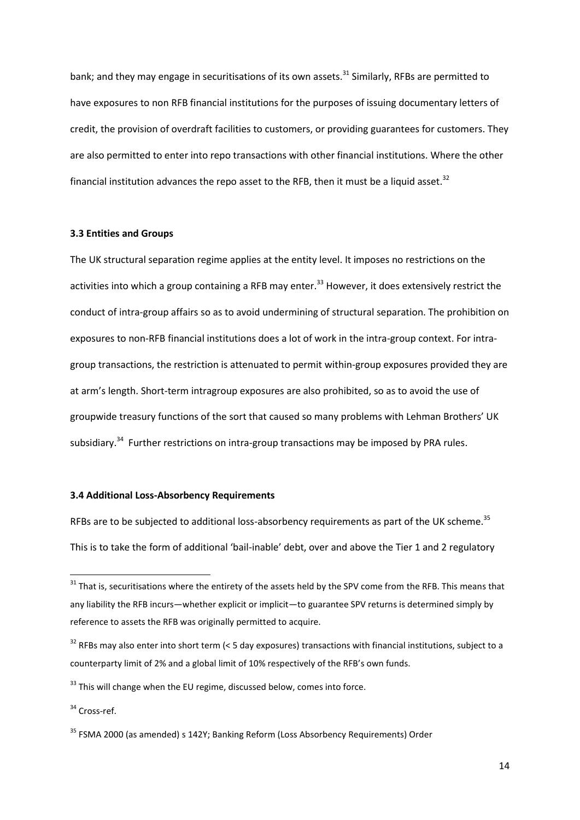bank; and they may engage in securitisations of its own assets.<sup>31</sup> Similarly, RFBs are permitted to have exposures to non RFB financial institutions for the purposes of issuing documentary letters of credit, the provision of overdraft facilities to customers, or providing guarantees for customers. They are also permitted to enter into repo transactions with other financial institutions. Where the other financial institution advances the repo asset to the RFB, then it must be a liquid asset.<sup>32</sup>

## **3.3 Entities and Groups**

The UK structural separation regime applies at the entity level. It imposes no restrictions on the activities into which a group containing a RFB may enter.<sup>33</sup> However, it does extensively restrict the conduct of intra-group affairs so as to avoid undermining of structural separation. The prohibition on exposures to non-RFB financial institutions does a lot of work in the intra-group context. For intragroup transactions, the restriction is attenuated to permit within-group exposures provided they are at arm's length. Short-term intragroup exposures are also prohibited, so as to avoid the use of groupwide treasury functions of the sort that caused so many problems with Lehman Brothers' UK subsidiary.<sup>34</sup> Further restrictions on intra-group transactions may be imposed by PRA rules.

# **3.4 Additional Loss-Absorbency Requirements**

RFBs are to be subjected to additional loss-absorbency requirements as part of the UK scheme.<sup>35</sup> This is to take the form of additional 'bail-inable' debt, over and above the Tier 1 and 2 regulatory

<sup>&</sup>lt;sup>31</sup> That is, securitisations where the entirety of the assets held by the SPV come from the RFB. This means that any liability the RFB incurs—whether explicit or implicit—to guarantee SPV returns is determined simply by reference to assets the RFB was originally permitted to acquire.

 $32$  RFBs may also enter into short term (< 5 day exposures) transactions with financial institutions, subject to a counterparty limit of 2% and a global limit of 10% respectively of the RFB's own funds.

 $33$  This will change when the EU regime, discussed below, comes into force.

<sup>&</sup>lt;sup>34</sup> Cross-ref.

<sup>&</sup>lt;sup>35</sup> FSMA 2000 (as amended) s 142Y; Banking Reform (Loss Absorbency Requirements) Order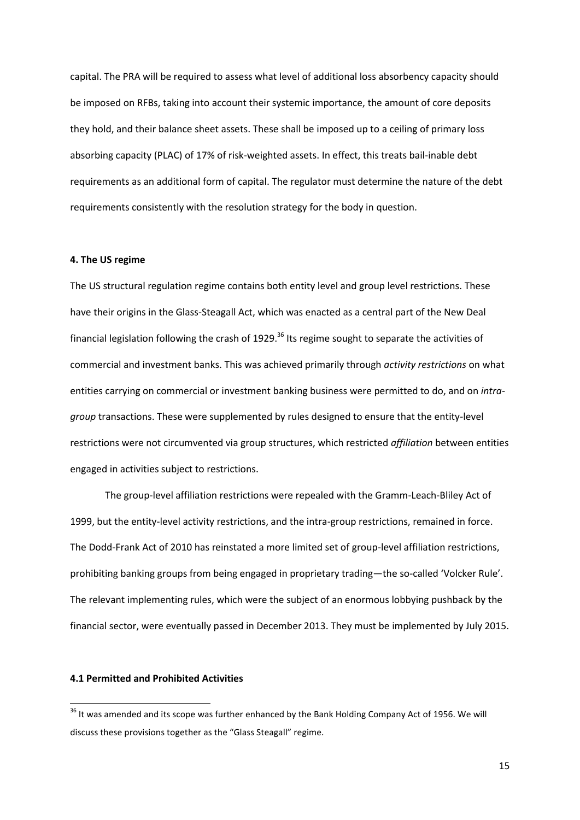capital. The PRA will be required to assess what level of additional loss absorbency capacity should be imposed on RFBs, taking into account their systemic importance, the amount of core deposits they hold, and their balance sheet assets. These shall be imposed up to a ceiling of primary loss absorbing capacity (PLAC) of 17% of risk-weighted assets. In effect, this treats bail-inable debt requirements as an additional form of capital. The regulator must determine the nature of the debt requirements consistently with the resolution strategy for the body in question.

#### **4. The US regime**

The US structural regulation regime contains both entity level and group level restrictions. These have their origins in the Glass-Steagall Act, which was enacted as a central part of the New Deal financial legislation following the crash of 1929. $^{36}$  Its regime sought to separate the activities of commercial and investment banks. This was achieved primarily through *activity restrictions* on what entities carrying on commercial or investment banking business were permitted to do, and on *intragroup* transactions. These were supplemented by rules designed to ensure that the entity-level restrictions were not circumvented via group structures, which restricted *affiliation* between entities engaged in activities subject to restrictions.

The group-level affiliation restrictions were repealed with the Gramm-Leach-Bliley Act of 1999, but the entity-level activity restrictions, and the intra-group restrictions, remained in force. The Dodd-Frank Act of 2010 has reinstated a more limited set of group-level affiliation restrictions, prohibiting banking groups from being engaged in proprietary trading—the so-called 'Volcker Rule'. The relevant implementing rules, which were the subject of an enormous lobbying pushback by the financial sector, were eventually passed in December 2013. They must be implemented by July 2015.

# **4.1 Permitted and Prohibited Activities**

 $36$  It was amended and its scope was further enhanced by the Bank Holding Company Act of 1956. We will discuss these provisions together as the "Glass Steagall" regime.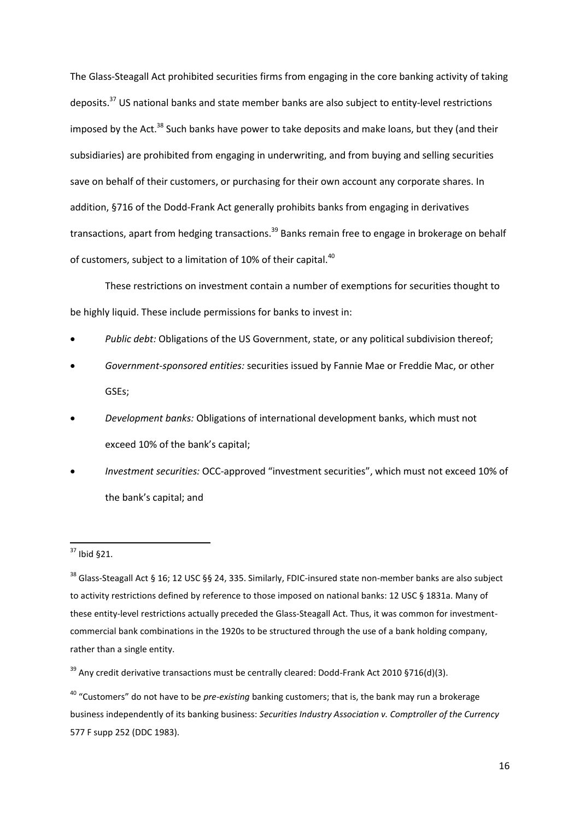The Glass-Steagall Act prohibited securities firms from engaging in the core banking activity of taking deposits.<sup>37</sup> US national banks and state member banks are also subject to entity-level restrictions imposed by the Act.<sup>38</sup> Such banks have power to take deposits and make loans, but they (and their subsidiaries) are prohibited from engaging in underwriting, and from buying and selling securities save on behalf of their customers, or purchasing for their own account any corporate shares. In addition, §716 of the Dodd-Frank Act generally prohibits banks from engaging in derivatives transactions, apart from hedging transactions.<sup>39</sup> Banks remain free to engage in brokerage on behalf of customers, subject to a limitation of 10% of their capital.<sup>40</sup>

These restrictions on investment contain a number of exemptions for securities thought to be highly liquid. These include permissions for banks to invest in:

- *Public debt:* Obligations of the US Government, state, or any political subdivision thereof;
- *Government-sponsored entities:* securities issued by Fannie Mae or Freddie Mac, or other GSEs;
- *Development banks:* Obligations of international development banks, which must not exceed 10% of the bank's capital;
- *Investment securities:* OCC-approved "investment securities", which must not exceed 10% of the bank's capital; and

 $37$  Ibid §21.

 $38$  Glass-Steagall Act § 16; 12 USC §§ 24, 335. Similarly, FDIC-insured state non-member banks are also subject to activity restrictions defined by reference to those imposed on national banks: 12 USC § 1831a. Many of these entity-level restrictions actually preceded the Glass-Steagall Act. Thus, it was common for investmentcommercial bank combinations in the 1920s to be structured through the use of a bank holding company, rather than a single entity.

 $39$  Any credit derivative transactions must be centrally cleared: Dodd-Frank Act 2010 §716(d)(3).

<sup>40</sup> "Customers" do not have to be *pre-existing* banking customers; that is, the bank may run a brokerage business independently of its banking business: *Securities Industry Association v. Comptroller of the Currency* 577 F supp 252 (DDC 1983).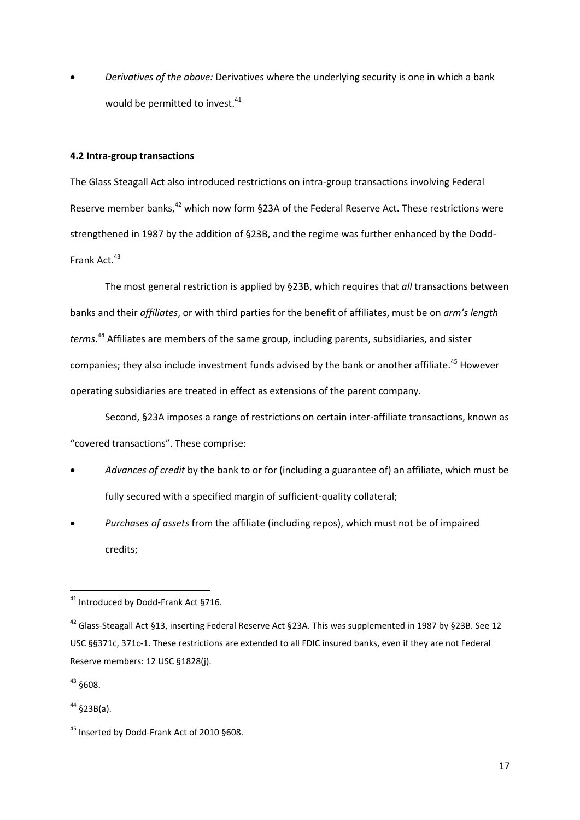*Derivatives of the above:* Derivatives where the underlying security is one in which a bank would be permitted to invest. $41$ 

# **4.2 Intra-group transactions**

The Glass Steagall Act also introduced restrictions on intra-group transactions involving Federal Reserve member banks,<sup>42</sup> which now form §23A of the Federal Reserve Act. These restrictions were strengthened in 1987 by the addition of §23B, and the regime was further enhanced by the Dodd-Frank Act.<sup>43</sup>

The most general restriction is applied by §23B, which requires that *all* transactions between banks and their *affiliates*, or with third parties for the benefit of affiliates, must be on *arm's length terms*. <sup>44</sup> Affiliates are members of the same group, including parents, subsidiaries, and sister companies; they also include investment funds advised by the bank or another affiliate.<sup>45</sup> However operating subsidiaries are treated in effect as extensions of the parent company.

Second, §23A imposes a range of restrictions on certain inter-affiliate transactions, known as "covered transactions". These comprise:

- *Advances of credit* by the bank to or for (including a guarantee of) an affiliate, which must be fully secured with a specified margin of sufficient-quality collateral;
- *Purchases of assets* from the affiliate (including repos), which must not be of impaired credits;

 $\overline{a}$ <sup>41</sup> Introduced by Dodd-Frank Act §716.

<sup>&</sup>lt;sup>42</sup> Glass-Steagall Act §13, inserting Federal Reserve Act §23A. This was supplemented in 1987 by §23B. See 12 USC §§371c, 371c-1. These restrictions are extended to all FDIC insured banks, even if they are not Federal Reserve members: 12 USC §1828(j).

 $43$  §608.

 $44$  §23B(a).

<sup>45</sup> Inserted by Dodd-Frank Act of 2010 §608.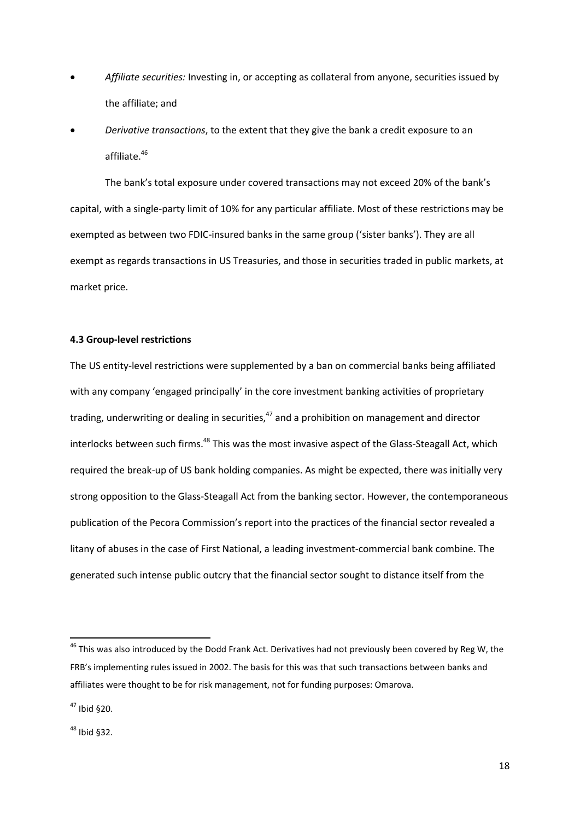- *Affiliate securities:* Investing in, or accepting as collateral from anyone, securities issued by the affiliate; and
- *Derivative transactions*, to the extent that they give the bank a credit exposure to an affiliate. 46

The bank's total exposure under covered transactions may not exceed 20% of the bank's capital, with a single-party limit of 10% for any particular affiliate. Most of these restrictions may be exempted as between two FDIC-insured banks in the same group ('sister banks'). They are all exempt as regards transactions in US Treasuries, and those in securities traded in public markets, at market price.

# **4.3 Group-level restrictions**

The US entity-level restrictions were supplemented by a ban on commercial banks being affiliated with any company 'engaged principally' in the core investment banking activities of proprietary trading, underwriting or dealing in securities, $47$  and a prohibition on management and director interlocks between such firms.<sup>48</sup> This was the most invasive aspect of the Glass-Steagall Act, which required the break-up of US bank holding companies. As might be expected, there was initially very strong opposition to the Glass-Steagall Act from the banking sector. However, the contemporaneous publication of the Pecora Commission's report into the practices of the financial sector revealed a litany of abuses in the case of First National, a leading investment-commercial bank combine. The generated such intense public outcry that the financial sector sought to distance itself from the

<sup>&</sup>lt;sup>46</sup> This was also introduced by the Dodd Frank Act. Derivatives had not previously been covered by Reg W, the FRB's implementing rules issued in 2002. The basis for this was that such transactions between banks and affiliates were thought to be for risk management, not for funding purposes: Omarova.

 $47$  Ibid §20.

<sup>48</sup> Ibid §32.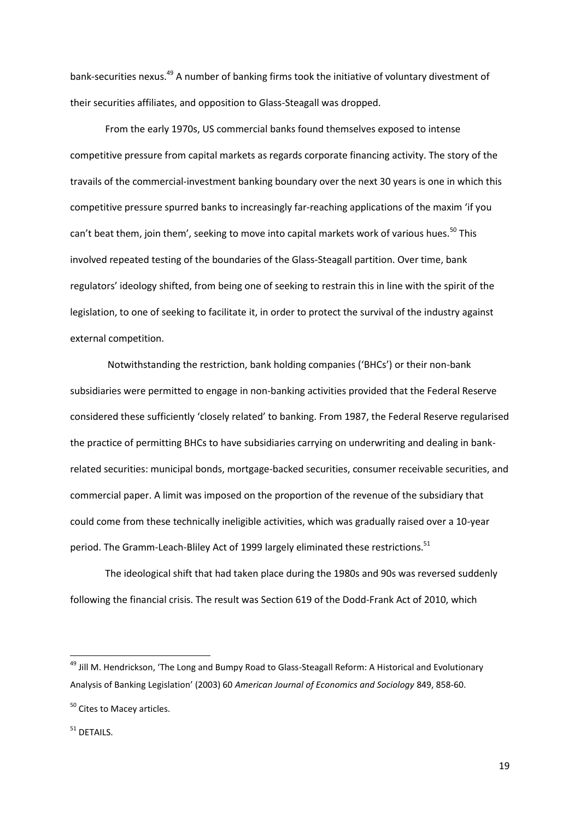bank-securities nexus.<sup>49</sup> A number of banking firms took the initiative of voluntary divestment of their securities affiliates, and opposition to Glass-Steagall was dropped.

From the early 1970s, US commercial banks found themselves exposed to intense competitive pressure from capital markets as regards corporate financing activity. The story of the travails of the commercial-investment banking boundary over the next 30 years is one in which this competitive pressure spurred banks to increasingly far-reaching applications of the maxim 'if you can't beat them, join them', seeking to move into capital markets work of various hues.<sup>50</sup> This involved repeated testing of the boundaries of the Glass-Steagall partition. Over time, bank regulators' ideology shifted, from being one of seeking to restrain this in line with the spirit of the legislation, to one of seeking to facilitate it, in order to protect the survival of the industry against external competition.

Notwithstanding the restriction, bank holding companies ('BHCs') or their non-bank subsidiaries were permitted to engage in non-banking activities provided that the Federal Reserve considered these sufficiently 'closely related' to banking. From 1987, the Federal Reserve regularised the practice of permitting BHCs to have subsidiaries carrying on underwriting and dealing in bankrelated securities: municipal bonds, mortgage-backed securities, consumer receivable securities, and commercial paper. A limit was imposed on the proportion of the revenue of the subsidiary that could come from these technically ineligible activities, which was gradually raised over a 10-year period. The Gramm-Leach-Bliley Act of 1999 largely eliminated these restrictions.<sup>51</sup>

The ideological shift that had taken place during the 1980s and 90s was reversed suddenly following the financial crisis. The result was Section 619 of the Dodd-Frank Act of 2010, which

<sup>&</sup>lt;sup>49</sup> Jill M. Hendrickson, 'The Long and Bumpy Road to Glass-Steagall Reform: A Historical and Evolutionary Analysis of Banking Legislation' (2003) 60 *American Journal of Economics and Sociology* 849, 858-60.

<sup>&</sup>lt;sup>50</sup> Cites to Macey articles.

<sup>&</sup>lt;sup>51</sup> DETAILS.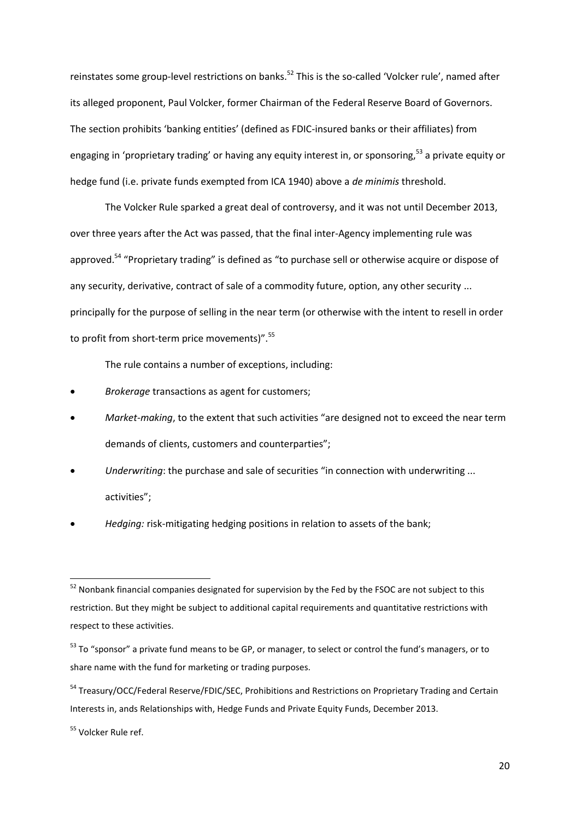reinstates some group-level restrictions on banks.<sup>52</sup> This is the so-called 'Volcker rule', named after its alleged proponent, Paul Volcker, former Chairman of the Federal Reserve Board of Governors. The section prohibits 'banking entities' (defined as FDIC-insured banks or their affiliates) from engaging in 'proprietary trading' or having any equity interest in, or sponsoring,<sup>53</sup> a private equity or hedge fund (i.e. private funds exempted from ICA 1940) above a *de minimis* threshold.

The Volcker Rule sparked a great deal of controversy, and it was not until December 2013, over three years after the Act was passed, that the final inter-Agency implementing rule was approved.<sup>54</sup> "Proprietary trading" is defined as "to purchase sell or otherwise acquire or dispose of any security, derivative, contract of sale of a commodity future, option, any other security ... principally for the purpose of selling in the near term (or otherwise with the intent to resell in order to profit from short-term price movements)".<sup>55</sup>

The rule contains a number of exceptions, including:

- *Brokerage* transactions as agent for customers;
- *Market-making*, to the extent that such activities "are designed not to exceed the near term demands of clients, customers and counterparties";
- *Underwriting*: the purchase and sale of securities "in connection with underwriting ... activities";
- *Hedging:* risk-mitigating hedging positions in relation to assets of the bank;

<sup>55</sup> Volcker Rule ref.

 $\overline{a}$ 

<sup>&</sup>lt;sup>52</sup> Nonbank financial companies designated for supervision by the Fed by the FSOC are not subject to this restriction. But they might be subject to additional capital requirements and quantitative restrictions with respect to these activities.

<sup>&</sup>lt;sup>53</sup> To "sponsor" a private fund means to be GP, or manager, to select or control the fund's managers, or to share name with the fund for marketing or trading purposes.

<sup>&</sup>lt;sup>54</sup> Treasury/OCC/Federal Reserve/FDIC/SEC, Prohibitions and Restrictions on Proprietary Trading and Certain Interests in, ands Relationships with, Hedge Funds and Private Equity Funds, December 2013.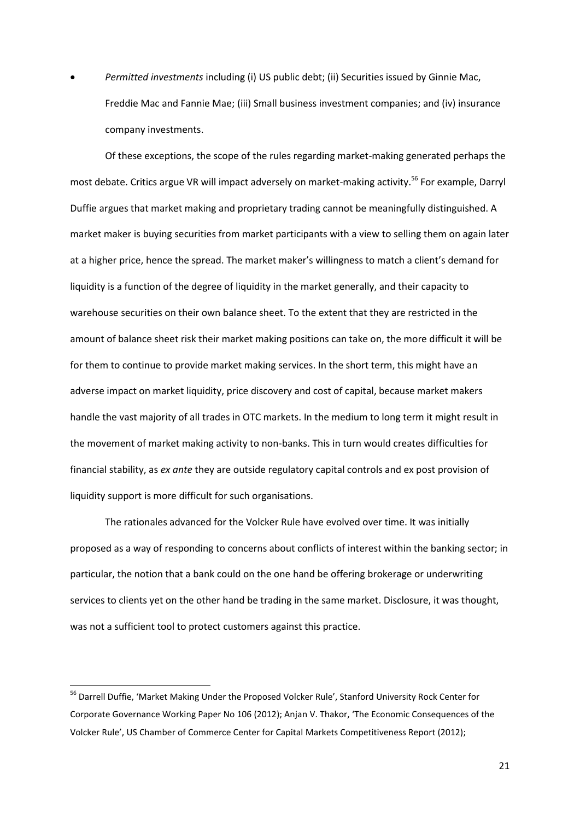*Permitted investments* including (i) US public debt; (ii) Securities issued by Ginnie Mac, Freddie Mac and Fannie Mae; (iii) Small business investment companies; and (iv) insurance company investments.

Of these exceptions, the scope of the rules regarding market-making generated perhaps the most debate. Critics argue VR will impact adversely on market-making activity.<sup>56</sup> For example, Darryl Duffie argues that market making and proprietary trading cannot be meaningfully distinguished. A market maker is buying securities from market participants with a view to selling them on again later at a higher price, hence the spread. The market maker's willingness to match a client's demand for liquidity is a function of the degree of liquidity in the market generally, and their capacity to warehouse securities on their own balance sheet. To the extent that they are restricted in the amount of balance sheet risk their market making positions can take on, the more difficult it will be for them to continue to provide market making services. In the short term, this might have an adverse impact on market liquidity, price discovery and cost of capital, because market makers handle the vast majority of all trades in OTC markets. In the medium to long term it might result in the movement of market making activity to non-banks. This in turn would creates difficulties for financial stability, as *ex ante* they are outside regulatory capital controls and ex post provision of liquidity support is more difficult for such organisations.

The rationales advanced for the Volcker Rule have evolved over time. It was initially proposed as a way of responding to concerns about conflicts of interest within the banking sector; in particular, the notion that a bank could on the one hand be offering brokerage or underwriting services to clients yet on the other hand be trading in the same market. Disclosure, it was thought, was not a sufficient tool to protect customers against this practice.

<sup>56</sup> Darrell Duffie, 'Market Making Under the Proposed Volcker Rule', Stanford University Rock Center for Corporate Governance Working Paper No 106 (2012); Anjan V. Thakor, 'The Economic Consequences of the Volcker Rule', US Chamber of Commerce Center for Capital Markets Competitiveness Report (2012);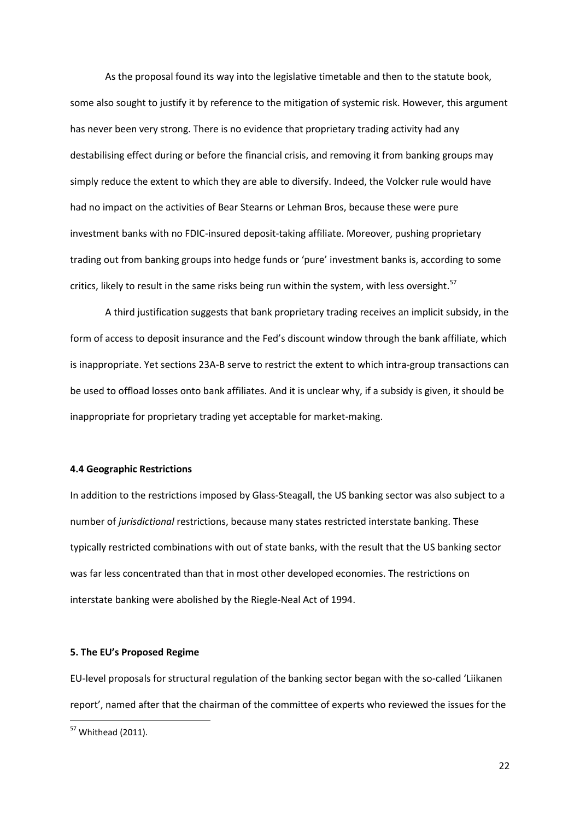As the proposal found its way into the legislative timetable and then to the statute book, some also sought to justify it by reference to the mitigation of systemic risk. However, this argument has never been very strong. There is no evidence that proprietary trading activity had any destabilising effect during or before the financial crisis, and removing it from banking groups may simply reduce the extent to which they are able to diversify. Indeed, the Volcker rule would have had no impact on the activities of Bear Stearns or Lehman Bros, because these were pure investment banks with no FDIC-insured deposit-taking affiliate. Moreover, pushing proprietary trading out from banking groups into hedge funds or 'pure' investment banks is, according to some critics, likely to result in the same risks being run within the system, with less oversight.<sup>57</sup>

A third justification suggests that bank proprietary trading receives an implicit subsidy, in the form of access to deposit insurance and the Fed's discount window through the bank affiliate, which is inappropriate. Yet sections 23A-B serve to restrict the extent to which intra-group transactions can be used to offload losses onto bank affiliates. And it is unclear why, if a subsidy is given, it should be inappropriate for proprietary trading yet acceptable for market-making.

### **4.4 Geographic Restrictions**

In addition to the restrictions imposed by Glass-Steagall, the US banking sector was also subject to a number of *jurisdictional* restrictions, because many states restricted interstate banking. These typically restricted combinations with out of state banks, with the result that the US banking sector was far less concentrated than that in most other developed economies. The restrictions on interstate banking were abolished by the Riegle-Neal Act of 1994.

#### **5. The EU's Proposed Regime**

EU-level proposals for structural regulation of the banking sector began with the so-called 'Liikanen report', named after that the chairman of the committee of experts who reviewed the issues for the

 $\overline{a}$ 

 $57$  Whithead (2011).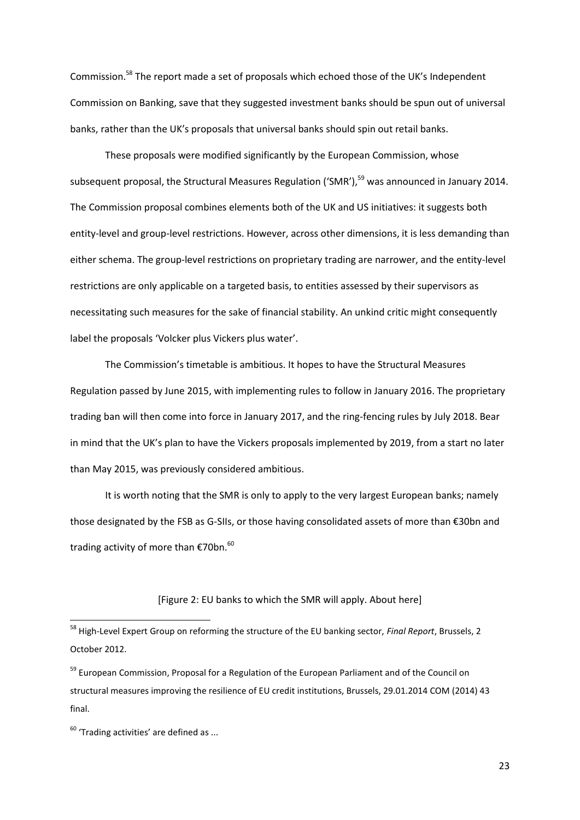Commission.<sup>58</sup> The report made a set of proposals which echoed those of the UK's Independent Commission on Banking, save that they suggested investment banks should be spun out of universal banks, rather than the UK's proposals that universal banks should spin out retail banks.

These proposals were modified significantly by the European Commission, whose subsequent proposal, the Structural Measures Regulation ('SMR'),<sup>59</sup> was announced in January 2014. The Commission proposal combines elements both of the UK and US initiatives: it suggests both entity-level and group-level restrictions. However, across other dimensions, it is less demanding than either schema. The group-level restrictions on proprietary trading are narrower, and the entity-level restrictions are only applicable on a targeted basis, to entities assessed by their supervisors as necessitating such measures for the sake of financial stability. An unkind critic might consequently label the proposals 'Volcker plus Vickers plus water'.

The Commission's timetable is ambitious. It hopes to have the Structural Measures Regulation passed by June 2015, with implementing rules to follow in January 2016. The proprietary trading ban will then come into force in January 2017, and the ring-fencing rules by July 2018. Bear in mind that the UK's plan to have the Vickers proposals implemented by 2019, from a start no later than May 2015, was previously considered ambitious.

It is worth noting that the SMR is only to apply to the very largest European banks; namely those designated by the FSB as G-SIIs, or those having consolidated assets of more than €30bn and trading activity of more than  $\epsilon$ 70bn.<sup>60</sup>

[Figure 2: EU banks to which the SMR will apply. About here]

<sup>58</sup> High-Level Expert Group on reforming the structure of the EU banking sector, *Final Report*, Brussels, 2 October 2012.

<sup>&</sup>lt;sup>59</sup> European Commission, Proposal for a Regulation of the European Parliament and of the Council on structural measures improving the resilience of EU credit institutions, Brussels, 29.01.2014 COM (2014) 43 final.

 $60$  'Trading activities' are defined as ...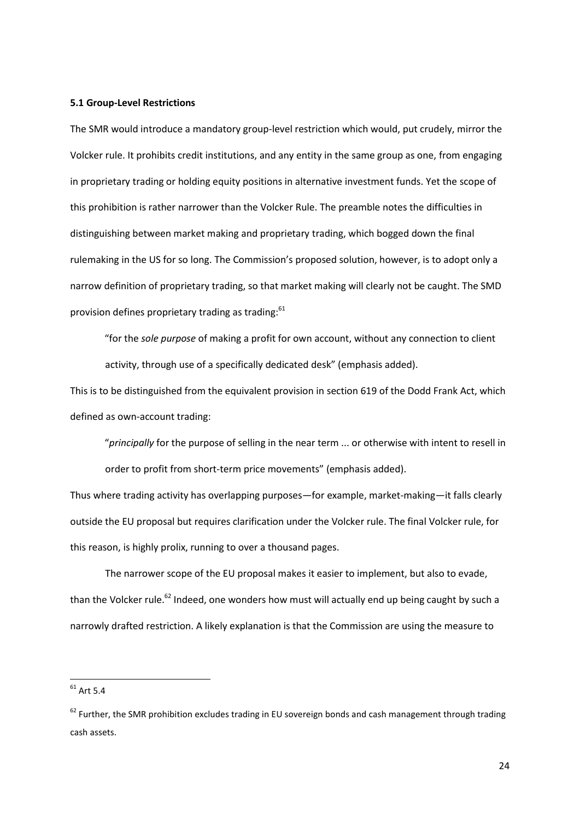#### **5.1 Group-Level Restrictions**

The SMR would introduce a mandatory group-level restriction which would, put crudely, mirror the Volcker rule. It prohibits credit institutions, and any entity in the same group as one, from engaging in proprietary trading or holding equity positions in alternative investment funds. Yet the scope of this prohibition is rather narrower than the Volcker Rule. The preamble notes the difficulties in distinguishing between market making and proprietary trading, which bogged down the final rulemaking in the US for so long. The Commission's proposed solution, however, is to adopt only a narrow definition of proprietary trading, so that market making will clearly not be caught. The SMD provision defines proprietary trading as trading: $61$ 

"for the *sole purpose* of making a profit for own account, without any connection to client activity, through use of a specifically dedicated desk" (emphasis added).

This is to be distinguished from the equivalent provision in section 619 of the Dodd Frank Act, which defined as own-account trading:

"*principally* for the purpose of selling in the near term ... or otherwise with intent to resell in order to profit from short-term price movements" (emphasis added).

Thus where trading activity has overlapping purposes—for example, market-making—it falls clearly outside the EU proposal but requires clarification under the Volcker rule. The final Volcker rule, for this reason, is highly prolix, running to over a thousand pages.

The narrower scope of the EU proposal makes it easier to implement, but also to evade, than the Volcker rule.<sup>62</sup> Indeed, one wonders how must will actually end up being caught by such a narrowly drafted restriction. A likely explanation is that the Commission are using the measure to

 $61$  Art 5.4

 $62$  Further, the SMR prohibition excludes trading in EU sovereign bonds and cash management through trading cash assets.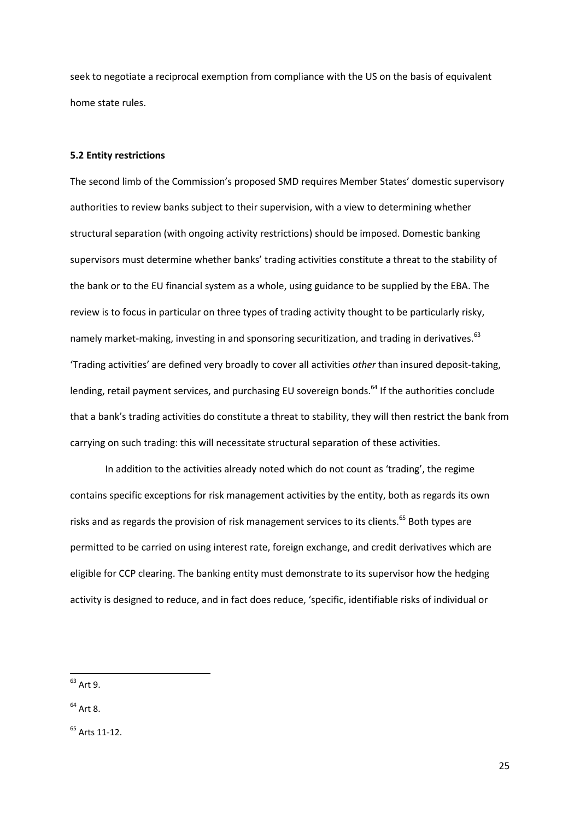seek to negotiate a reciprocal exemption from compliance with the US on the basis of equivalent home state rules.

# **5.2 Entity restrictions**

The second limb of the Commission's proposed SMD requires Member States' domestic supervisory authorities to review banks subject to their supervision, with a view to determining whether structural separation (with ongoing activity restrictions) should be imposed. Domestic banking supervisors must determine whether banks' trading activities constitute a threat to the stability of the bank or to the EU financial system as a whole, using guidance to be supplied by the EBA. The review is to focus in particular on three types of trading activity thought to be particularly risky, namely market-making, investing in and sponsoring securitization, and trading in derivatives.<sup>63</sup> 'Trading activities' are defined very broadly to cover all activities *other* than insured deposit-taking, lending, retail payment services, and purchasing EU sovereign bonds.<sup>64</sup> If the authorities conclude that a bank's trading activities do constitute a threat to stability, they will then restrict the bank from carrying on such trading: this will necessitate structural separation of these activities.

In addition to the activities already noted which do not count as 'trading', the regime contains specific exceptions for risk management activities by the entity, both as regards its own risks and as regards the provision of risk management services to its clients.<sup>65</sup> Both types are permitted to be carried on using interest rate, foreign exchange, and credit derivatives which are eligible for CCP clearing. The banking entity must demonstrate to its supervisor how the hedging activity is designed to reduce, and in fact does reduce, 'specific, identifiable risks of individual or

 $63$  Art 9.

**.** 

 $64$  Art 8.

<sup>65</sup> Arts 11-12.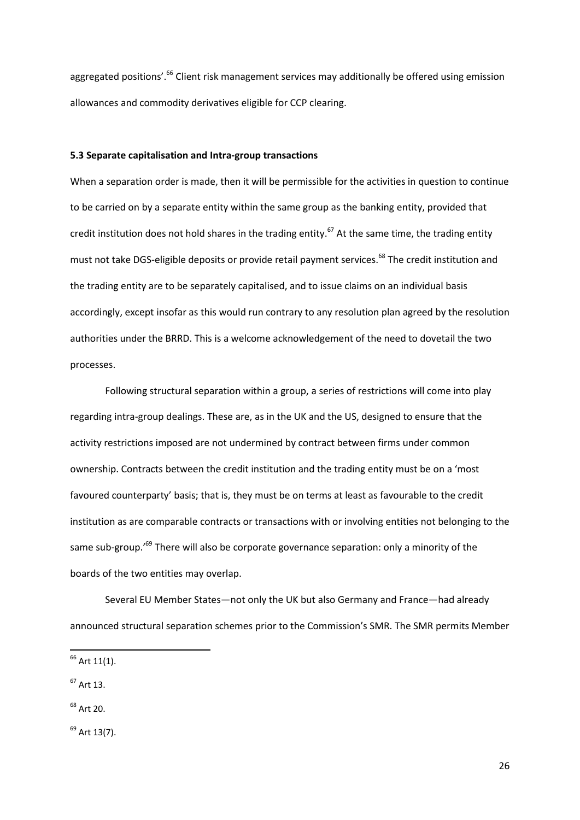aggregated positions'.<sup>66</sup> Client risk management services may additionally be offered using emission allowances and commodity derivatives eligible for CCP clearing.

#### **5.3 Separate capitalisation and Intra-group transactions**

When a separation order is made, then it will be permissible for the activities in question to continue to be carried on by a separate entity within the same group as the banking entity, provided that credit institution does not hold shares in the trading entity.<sup>67</sup> At the same time, the trading entity must not take DGS-eligible deposits or provide retail payment services.<sup>68</sup> The credit institution and the trading entity are to be separately capitalised, and to issue claims on an individual basis accordingly, except insofar as this would run contrary to any resolution plan agreed by the resolution authorities under the BRRD. This is a welcome acknowledgement of the need to dovetail the two processes.

Following structural separation within a group, a series of restrictions will come into play regarding intra-group dealings. These are, as in the UK and the US, designed to ensure that the activity restrictions imposed are not undermined by contract between firms under common ownership. Contracts between the credit institution and the trading entity must be on a 'most favoured counterparty' basis; that is, they must be on terms at least as favourable to the credit institution as are comparable contracts or transactions with or involving entities not belonging to the same sub-group.<sup>69</sup> There will also be corporate governance separation: only a minority of the boards of the two entities may overlap.

Several EU Member States—not only the UK but also Germany and France—had already announced structural separation schemes prior to the Commission's SMR. The SMR permits Member

 $67$  Art 13.

**.** 

<sup>68</sup> Art 20.

 $69$  Art 13(7).

 $66$  Art 11(1).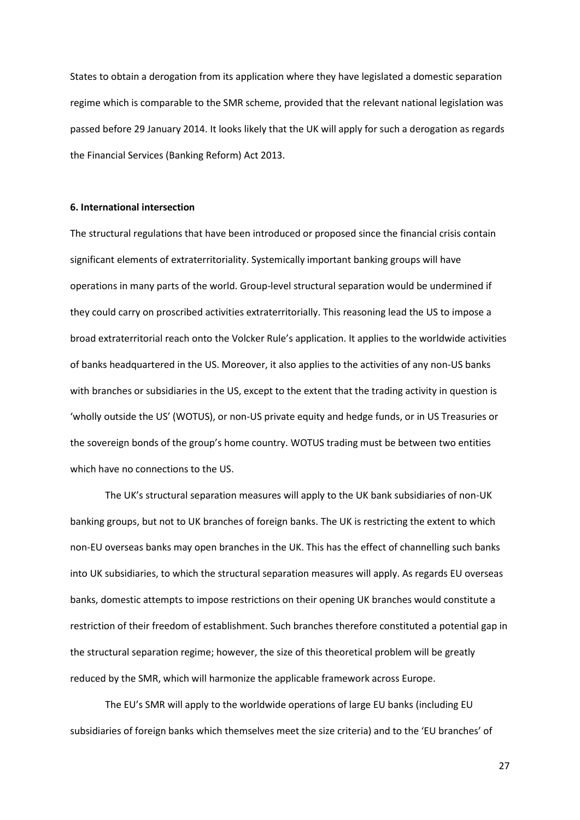States to obtain a derogation from its application where they have legislated a domestic separation regime which is comparable to the SMR scheme, provided that the relevant national legislation was passed before 29 January 2014. It looks likely that the UK will apply for such a derogation as regards the Financial Services (Banking Reform) Act 2013.

#### **6. International intersection**

The structural regulations that have been introduced or proposed since the financial crisis contain significant elements of extraterritoriality. Systemically important banking groups will have operations in many parts of the world. Group-level structural separation would be undermined if they could carry on proscribed activities extraterritorially. This reasoning lead the US to impose a broad extraterritorial reach onto the Volcker Rule's application. It applies to the worldwide activities of banks headquartered in the US. Moreover, it also applies to the activities of any non-US banks with branches or subsidiaries in the US, except to the extent that the trading activity in question is 'wholly outside the US' (WOTUS), or non-US private equity and hedge funds, or in US Treasuries or the sovereign bonds of the group's home country. WOTUS trading must be between two entities which have no connections to the US.

The UK's structural separation measures will apply to the UK bank subsidiaries of non-UK banking groups, but not to UK branches of foreign banks. The UK is restricting the extent to which non-EU overseas banks may open branches in the UK. This has the effect of channelling such banks into UK subsidiaries, to which the structural separation measures will apply. As regards EU overseas banks, domestic attempts to impose restrictions on their opening UK branches would constitute a restriction of their freedom of establishment. Such branches therefore constituted a potential gap in the structural separation regime; however, the size of this theoretical problem will be greatly reduced by the SMR, which will harmonize the applicable framework across Europe.

The EU's SMR will apply to the worldwide operations of large EU banks (including EU subsidiaries of foreign banks which themselves meet the size criteria) and to the 'EU branches' of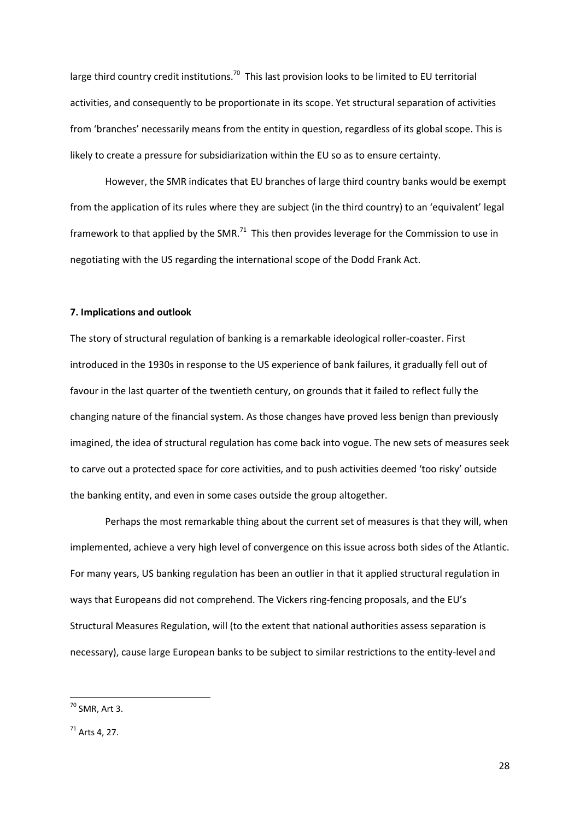large third country credit institutions.<sup>70</sup> This last provision looks to be limited to EU territorial activities, and consequently to be proportionate in its scope. Yet structural separation of activities from 'branches' necessarily means from the entity in question, regardless of its global scope. This is likely to create a pressure for subsidiarization within the EU so as to ensure certainty.

However, the SMR indicates that EU branches of large third country banks would be exempt from the application of its rules where they are subject (in the third country) to an 'equivalent' legal framework to that applied by the SMR.<sup>71</sup> This then provides leverage for the Commission to use in negotiating with the US regarding the international scope of the Dodd Frank Act.

### **7. Implications and outlook**

The story of structural regulation of banking is a remarkable ideological roller-coaster. First introduced in the 1930s in response to the US experience of bank failures, it gradually fell out of favour in the last quarter of the twentieth century, on grounds that it failed to reflect fully the changing nature of the financial system. As those changes have proved less benign than previously imagined, the idea of structural regulation has come back into vogue. The new sets of measures seek to carve out a protected space for core activities, and to push activities deemed 'too risky' outside the banking entity, and even in some cases outside the group altogether.

Perhaps the most remarkable thing about the current set of measures is that they will, when implemented, achieve a very high level of convergence on this issue across both sides of the Atlantic. For many years, US banking regulation has been an outlier in that it applied structural regulation in ways that Europeans did not comprehend. The Vickers ring-fencing proposals, and the EU's Structural Measures Regulation, will (to the extent that national authorities assess separation is necessary), cause large European banks to be subject to similar restrictions to the entity-level and

 $70$  SMR, Art 3.

 $71$  Arts 4, 27.